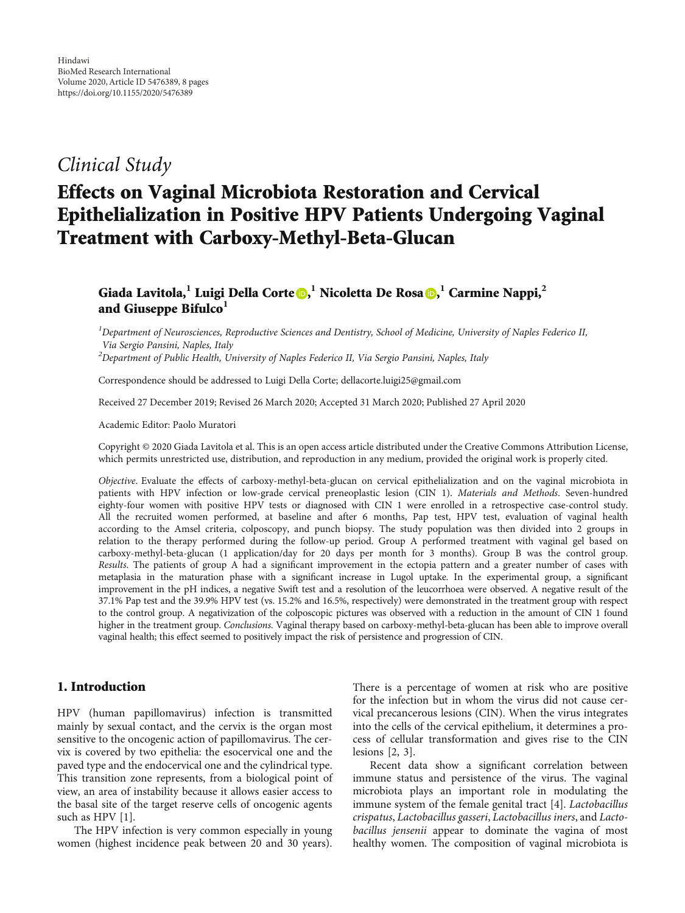## Clinical Study

# Effects on Vaginal Microbiota Restoration and Cervical Epithelialization in Positive HPV Patients Undergoing Vaginal Treatment with Carboxy-Methyl-Beta-Glucan

### Giada Lavitola, <sup>1</sup> Luigi Della Corte <mark>(b, <sup>1</sup>) Nicoletta De Rosa (b, <sup>1</sup>) Carmine Nappi, <sup>2</sup></mark> and Giuseppe Bifulco**<sup>1</sup>**

<sup>1</sup>Department of Neurosciences, Reproductive Sciences and Dentistry, School of Medicine, University of Naples Federico II, Via Sergio Pansini, Naples, Italy

 $^2$ Department of Public Health, University of Naples Federico II, Via Sergio Pansini, Naples, Italy

Correspondence should be addressed to Luigi Della Corte; dellacorte.luigi25@gmail.com

Received 27 December 2019; Revised 26 March 2020; Accepted 31 March 2020; Published 27 April 2020

Academic Editor: Paolo Muratori

Copyright © 2020 Giada Lavitola et al. This is an open access article distributed under the [Creative Commons Attribution License](https://creativecommons.org/licenses/by/4.0/), which permits unrestricted use, distribution, and reproduction in any medium, provided the original work is properly cited.

Objective. Evaluate the effects of carboxy-methyl-beta-glucan on cervical epithelialization and on the vaginal microbiota in patients with HPV infection or low-grade cervical preneoplastic lesion (CIN 1). Materials and Methods. Seven-hundred eighty-four women with positive HPV tests or diagnosed with CIN 1 were enrolled in a retrospective case-control study. All the recruited women performed, at baseline and after 6 months, Pap test, HPV test, evaluation of vaginal health according to the Amsel criteria, colposcopy, and punch biopsy. The study population was then divided into 2 groups in relation to the therapy performed during the follow-up period. Group A performed treatment with vaginal gel based on carboxy-methyl-beta-glucan (1 application/day for 20 days per month for 3 months). Group B was the control group. Results. The patients of group A had a significant improvement in the ectopia pattern and a greater number of cases with metaplasia in the maturation phase with a significant increase in Lugol uptake. In the experimental group, a significant improvement in the pH indices, a negative Swift test and a resolution of the leucorrhoea were observed. A negative result of the 37.1% Pap test and the 39.9% HPV test (vs. 15.2% and 16.5%, respectively) were demonstrated in the treatment group with respect to the control group. A negativization of the colposcopic pictures was observed with a reduction in the amount of CIN 1 found higher in the treatment group. Conclusions. Vaginal therapy based on carboxy-methyl-beta-glucan has been able to improve overall vaginal health; this effect seemed to positively impact the risk of persistence and progression of CIN.

#### 1. Introduction

HPV (human papillomavirus) infection is transmitted mainly by sexual contact, and the cervix is the organ most sensitive to the oncogenic action of papillomavirus. The cervix is covered by two epithelia: the esocervical one and the paved type and the endocervical one and the cylindrical type. This transition zone represents, from a biological point of view, an area of instability because it allows easier access to the basal site of the target reserve cells of oncogenic agents such as HPV [\[1\]](#page-6-0).

The HPV infection is very common especially in young women (highest incidence peak between 20 and 30 years).

There is a percentage of women at risk who are positive for the infection but in whom the virus did not cause cervical precancerous lesions (CIN). When the virus integrates into the cells of the cervical epithelium, it determines a process of cellular transformation and gives rise to the CIN lesions [[2, 3](#page-6-0)].

Recent data show a significant correlation between immune status and persistence of the virus. The vaginal microbiota plays an important role in modulating the immune system of the female genital tract [\[4](#page-6-0)]. Lactobacillus crispatus, Lactobacillus gasseri, Lactobacillus iners, and Lactobacillus jensenii appear to dominate the vagina of most healthy women. The composition of vaginal microbiota is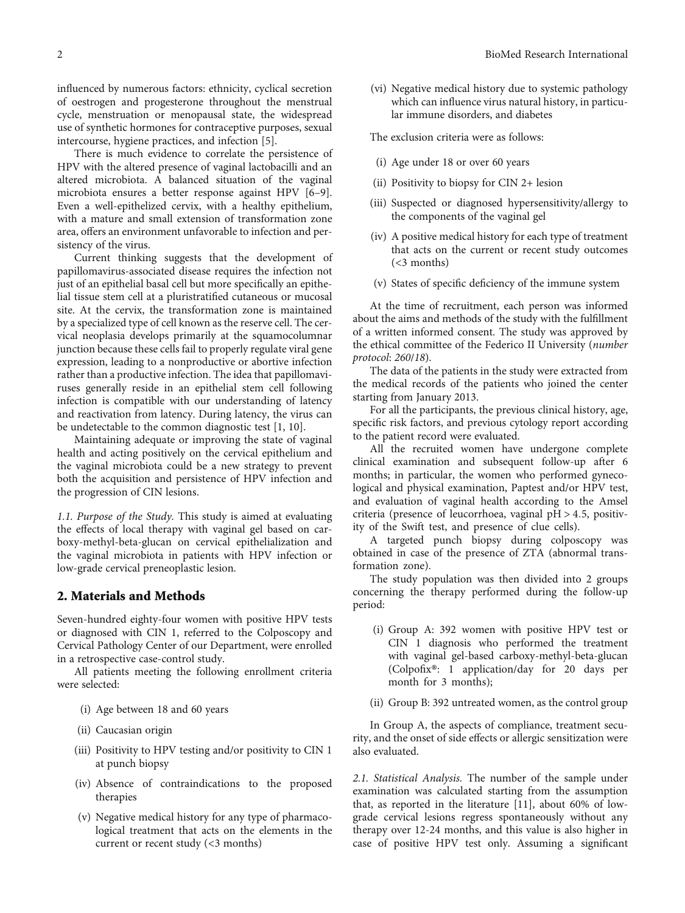influenced by numerous factors: ethnicity, cyclical secretion of oestrogen and progesterone throughout the menstrual cycle, menstruation or menopausal state, the widespread use of synthetic hormones for contraceptive purposes, sexual intercourse, hygiene practices, and infection [\[5](#page-6-0)].

There is much evidence to correlate the persistence of HPV with the altered presence of vaginal lactobacilli and an altered microbiota. A balanced situation of the vaginal microbiota ensures a better response against HPV [[6](#page-6-0)–[9](#page-6-0)]. Even a well-epithelized cervix, with a healthy epithelium, with a mature and small extension of transformation zone area, offers an environment unfavorable to infection and persistency of the virus.

Current thinking suggests that the development of papillomavirus-associated disease requires the infection not just of an epithelial basal cell but more specifically an epithelial tissue stem cell at a pluristratified cutaneous or mucosal site. At the cervix, the transformation zone is maintained by a specialized type of cell known as the reserve cell. The cervical neoplasia develops primarily at the squamocolumnar junction because these cells fail to properly regulate viral gene expression, leading to a nonproductive or abortive infection rather than a productive infection. The idea that papillomaviruses generally reside in an epithelial stem cell following infection is compatible with our understanding of latency and reactivation from latency. During latency, the virus can be undetectable to the common diagnostic test [[1, 10](#page-6-0)].

Maintaining adequate or improving the state of vaginal health and acting positively on the cervical epithelium and the vaginal microbiota could be a new strategy to prevent both the acquisition and persistence of HPV infection and the progression of CIN lesions.

1.1. Purpose of the Study. This study is aimed at evaluating the effects of local therapy with vaginal gel based on carboxy-methyl-beta-glucan on cervical epithelialization and the vaginal microbiota in patients with HPV infection or low-grade cervical preneoplastic lesion.

#### 2. Materials and Methods

Seven-hundred eighty-four women with positive HPV tests or diagnosed with CIN 1, referred to the Colposcopy and Cervical Pathology Center of our Department, were enrolled in a retrospective case-control study.

All patients meeting the following enrollment criteria were selected:

- (i) Age between 18 and 60 years
- (ii) Caucasian origin
- (iii) Positivity to HPV testing and/or positivity to CIN 1 at punch biopsy
- (iv) Absence of contraindications to the proposed therapies
- (v) Negative medical history for any type of pharmacological treatment that acts on the elements in the current or recent study (<3 months)

(vi) Negative medical history due to systemic pathology which can influence virus natural history, in particular immune disorders, and diabetes

The exclusion criteria were as follows:

- (i) Age under 18 or over 60 years
- (ii) Positivity to biopsy for CIN 2+ lesion
- (iii) Suspected or diagnosed hypersensitivity/allergy to the components of the vaginal gel
- (iv) A positive medical history for each type of treatment that acts on the current or recent study outcomes (<3 months)
- (v) States of specific deficiency of the immune system

At the time of recruitment, each person was informed about the aims and methods of the study with the fulfillment of a written informed consent. The study was approved by the ethical committee of the Federico II University (number protocol: 260/18).

The data of the patients in the study were extracted from the medical records of the patients who joined the center starting from January 2013.

For all the participants, the previous clinical history, age, specific risk factors, and previous cytology report according to the patient record were evaluated.

All the recruited women have undergone complete clinical examination and subsequent follow-up after 6 months; in particular, the women who performed gynecological and physical examination, Paptest and/or HPV test, and evaluation of vaginal health according to the Amsel criteria (presence of leucorrhoea, vaginal pH > 4*:*5, positivity of the Swift test, and presence of clue cells).

A targeted punch biopsy during colposcopy was obtained in case of the presence of ZTA (abnormal transformation zone).

The study population was then divided into 2 groups concerning the therapy performed during the follow-up period:

- (i) Group A: 392 women with positive HPV test or CIN 1 diagnosis who performed the treatment with vaginal gel-based carboxy-methyl-beta-glucan (Colpofix®: 1 application/day for 20 days per month for 3 months);
- (ii) Group B: 392 untreated women, as the control group

In Group A, the aspects of compliance, treatment security, and the onset of side effects or allergic sensitization were also evaluated.

2.1. Statistical Analysis. The number of the sample under examination was calculated starting from the assumption that, as reported in the literature [\[11\]](#page-6-0), about 60% of lowgrade cervical lesions regress spontaneously without any therapy over 12-24 months, and this value is also higher in case of positive HPV test only. Assuming a significant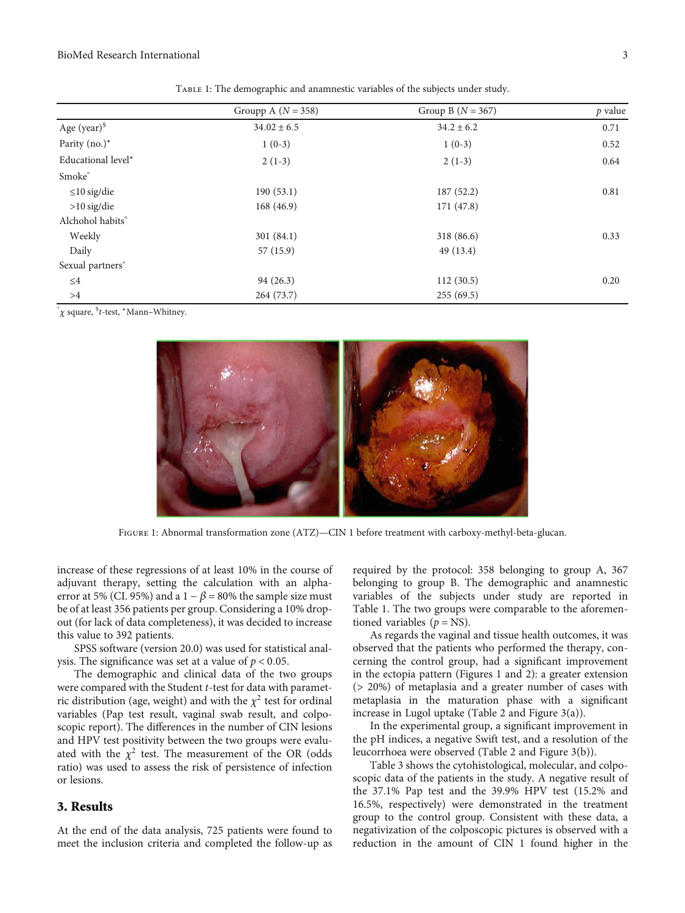|                              | Groupp A $(N = 358)$ | Group B $(N = 367)$ | $p$ value |
|------------------------------|----------------------|---------------------|-----------|
| Age (year) $\s$              | $34.02 \pm 6.5$      | $34.2 \pm 6.2$      | 0.71      |
| Parity (no.)*                | $1(0-3)$             | $1(0-3)$            | 0.52      |
| Educational level*           | $2(1-3)$             | $2(1-3)$            | 0.64      |
| Smoke°                       |                      |                     |           |
| $\leq$ 10 sig/die            | 190(53.1)            | 187(52.2)           | 0.81      |
| $>10$ sig/die                | 168 (46.9)           | 171 (47.8)          |           |
| Alchohol habits°             |                      |                     |           |
| Weekly                       | 301(84.1)            | 318 (86.6)          | 0.33      |
| Daily                        | 57 (15.9)            | 49 (13.4)           |           |
| Sexual partners <sup>®</sup> |                      |                     |           |
| $\leq\!\!4$                  | 94 (26.3)            | 112(30.5)           | 0.20      |
| >4                           | 264 (73.7)           | 255(69.5)           |           |

Table 1: The demographic and anamnestic variables of the subjects under study.

° *χ* square, § *t*-test, <sup>∗</sup>Mann–Whitney.



Figure 1: Abnormal transformation zone (ATZ)—CIN 1 before treatment with carboxy-methyl-beta-glucan.

increase of these regressions of at least 10% in the course of adjuvant therapy, setting the calculation with an alphaerror at 5% (CI. 95%) and a  $1 - \beta = 80\%$  the sample size must be of at least 356 patients per group. Considering a 10% dropout (for lack of data completeness), it was decided to increase this value to 392 patients.

SPSS software (version 20.0) was used for statistical analysis. The significance was set at a value of *p* < 0*:*05.

The demographic and clinical data of the two groups were compared with the Student *t*-test for data with parametric distribution (age, weight) and with the  $\chi^2$  test for ordinal variables (Pap test result, vaginal swab result, and colposcopic report). The differences in the number of CIN lesions and HPV test positivity between the two groups were evaluated with the  $\chi^2$  test. The measurement of the OR (odds ratio) was used to assess the risk of persistence of infection or lesions.

#### 3. Results

At the end of the data analysis, 725 patients were found to meet the inclusion criteria and completed the follow-up as required by the protocol: 358 belonging to group A, 367 belonging to group B. The demographic and anamnestic variables of the subjects under study are reported in Table 1. The two groups were comparable to the aforementioned variables  $(p = NS)$ .

As regards the vaginal and tissue health outcomes, it was observed that the patients who performed the therapy, concerning the control group, had a significant improvement in the ectopia pattern (Figures 1 and [2](#page-3-0)): a greater extension (> 20%) of metaplasia and a greater number of cases with metaplasia in the maturation phase with a significant increase in Lugol uptake (Table [2](#page-3-0) and Figure [3\(a\)](#page-4-0)).

In the experimental group, a significant improvement in the pH indices, a negative Swift test, and a resolution of the leucorrhoea were observed (Table [2](#page-3-0) and Figure [3\(b\)\)](#page-4-0).

Table [3](#page-5-0) shows the cytohistological, molecular, and colposcopic data of the patients in the study. A negative result of the 37.1% Pap test and the 39.9% HPV test (15.2% and 16.5%, respectively) were demonstrated in the treatment group to the control group. Consistent with these data, a negativization of the colposcopic pictures is observed with a reduction in the amount of CIN 1 found higher in the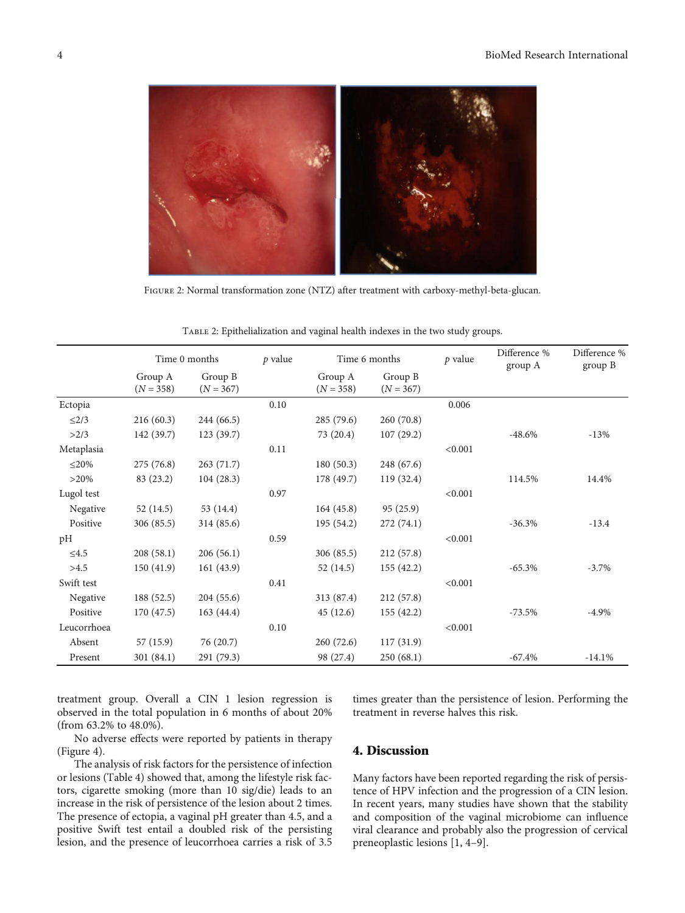<span id="page-3-0"></span>

Figure 2: Normal transformation zone (NTZ) after treatment with carboxy-methyl-beta-glucan.

|             | Time 0 months          |                        | $p$ value | Time 6 months          |                        | $p$ value | Difference %<br>group A | Difference %<br>group B |
|-------------|------------------------|------------------------|-----------|------------------------|------------------------|-----------|-------------------------|-------------------------|
|             | Group A<br>$(N = 358)$ | Group B<br>$(N = 367)$ |           | Group A<br>$(N = 358)$ | Group B<br>$(N = 367)$ |           |                         |                         |
| Ectopia     |                        |                        | 0.10      |                        |                        | 0.006     |                         |                         |
| $\leq$ 2/3  | 216(60.3)              | 244 (66.5)             |           | 285 (79.6)             | 260 (70.8)             |           |                         |                         |
| >2/3        | 142 (39.7)             | 123(39.7)              |           | 73 (20.4)              | 107(29.2)              |           | $-48.6%$                | $-13%$                  |
| Metaplasia  |                        |                        | 0.11      |                        |                        | < 0.001   |                         |                         |
| $\leq$ 20%  | 275(76.8)              | 263(71.7)              |           | 180(50.3)              | 248 (67.6)             |           |                         |                         |
| $>20\%$     | 83 (23.2)              | 104(28.3)              |           | 178 (49.7)             | 119 (32.4)             |           | 114.5%                  | 14.4%                   |
| Lugol test  |                        |                        | 0.97      |                        |                        | < 0.001   |                         |                         |
| Negative    | 52(14.5)               | 53 (14.4)              |           | 164(45.8)              | 95(25.9)               |           |                         |                         |
| Positive    | 306 (85.5)             | 314 (85.6)             |           | 195(54.2)              | 272(74.1)              |           | $-36.3%$                | $-13.4$                 |
| pH          |                        |                        | 0.59      |                        |                        | < 0.001   |                         |                         |
| $\leq4.5$   | 208(58.1)              | 206(56.1)              |           | 306(85.5)              | 212(57.8)              |           |                         |                         |
| >4.5        | 150(41.9)              | 161(43.9)              |           | 52 (14.5)              | 155(42.2)              |           | $-65.3%$                | $-3.7\%$                |
| Swift test  |                        |                        | 0.41      |                        |                        | < 0.001   |                         |                         |
| Negative    | 188(52.5)              | 204(55.6)              |           | 313 (87.4)             | 212 (57.8)             |           |                         |                         |
| Positive    | 170 (47.5)             | 163(44.4)              |           | 45(12.6)               | 155(42.2)              |           | $-73.5%$                | $-4.9\%$                |
| Leucorrhoea |                        |                        | 0.10      |                        |                        | < 0.001   |                         |                         |
| Absent      | 57(15.9)               | 76 (20.7)              |           | 260(72.6)              | 117(31.9)              |           |                         |                         |
| Present     | 301 (84.1)             | 291 (79.3)             |           | 98 (27.4)              | 250(68.1)              |           | $-67.4%$                | $-14.1%$                |

Table 2: Epithelialization and vaginal health indexes in the two study groups.

treatment group. Overall a CIN 1 lesion regression is observed in the total population in 6 months of about 20% (from 63.2% to 48.0%).

No adverse effects were reported by patients in therapy (Figure [4](#page-5-0)).

The analysis of risk factors for the persistence of infection or lesions (Table [4](#page-6-0)) showed that, among the lifestyle risk factors, cigarette smoking (more than 10 sig/die) leads to an increase in the risk of persistence of the lesion about 2 times. The presence of ectopia, a vaginal pH greater than 4.5, and a positive Swift test entail a doubled risk of the persisting lesion, and the presence of leucorrhoea carries a risk of 3.5

times greater than the persistence of lesion. Performing the treatment in reverse halves this risk.

#### 4. Discussion

Many factors have been reported regarding the risk of persistence of HPV infection and the progression of a CIN lesion. In recent years, many studies have shown that the stability and composition of the vaginal microbiome can influence viral clearance and probably also the progression of cervical preneoplastic lesions [\[1, 4](#page-6-0)–[9](#page-6-0)].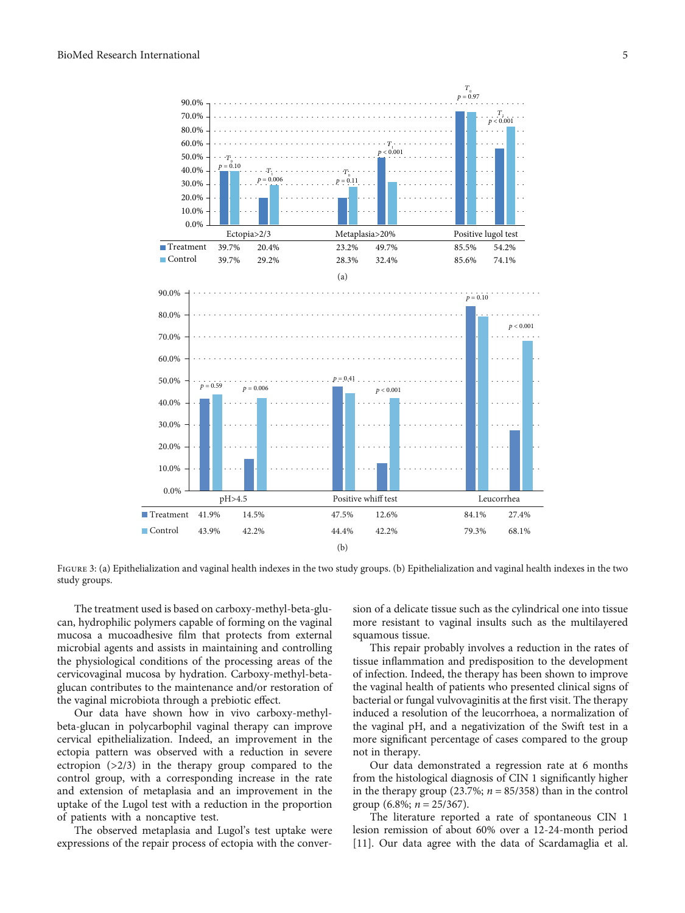<span id="page-4-0"></span>

FIGURE 3: (a) Epithelialization and vaginal health indexes in the two study groups. (b) Epithelialization and vaginal health indexes in the two study groups.

The treatment used is based on carboxy-methyl-beta-glucan, hydrophilic polymers capable of forming on the vaginal mucosa a mucoadhesive film that protects from external microbial agents and assists in maintaining and controlling the physiological conditions of the processing areas of the cervicovaginal mucosa by hydration. Carboxy-methyl-betaglucan contributes to the maintenance and/or restoration of the vaginal microbiota through a prebiotic effect.

Our data have shown how in vivo carboxy-methylbeta-glucan in polycarbophil vaginal therapy can improve cervical epithelialization. Indeed, an improvement in the ectopia pattern was observed with a reduction in severe ectropion (>2/3) in the therapy group compared to the control group, with a corresponding increase in the rate and extension of metaplasia and an improvement in the uptake of the Lugol test with a reduction in the proportion of patients with a noncaptive test.

The observed metaplasia and Lugol's test uptake were expressions of the repair process of ectopia with the conver-

sion of a delicate tissue such as the cylindrical one into tissue more resistant to vaginal insults such as the multilayered squamous tissue.

This repair probably involves a reduction in the rates of tissue inflammation and predisposition to the development of infection. Indeed, the therapy has been shown to improve the vaginal health of patients who presented clinical signs of bacterial or fungal vulvovaginitis at the first visit. The therapy induced a resolution of the leucorrhoea, a normalization of the vaginal pH, and a negativization of the Swift test in a more significant percentage of cases compared to the group not in therapy.

Our data demonstrated a regression rate at 6 months from the histological diagnosis of CIN 1 significantly higher in the therapy group  $(23.7\%; n = 85/358)$  than in the control group (6.8%; *n* = 25/367).

The literature reported a rate of spontaneous CIN 1 lesion remission of about 60% over a 12-24-month period [\[11](#page-6-0)]. Our data agree with the data of Scardamaglia et al.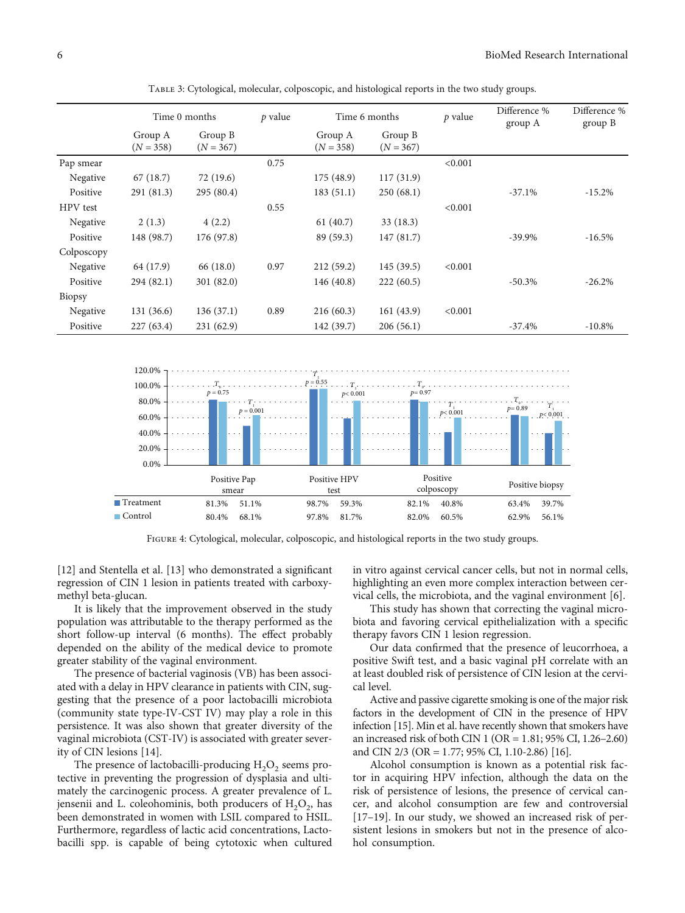<span id="page-5-0"></span>

|            | Time 0 months          |                        | $p$ value | Time 6 months          |                        | $p$ value | Difference %<br>group A | Difference %<br>group B |
|------------|------------------------|------------------------|-----------|------------------------|------------------------|-----------|-------------------------|-------------------------|
|            | Group A<br>$(N = 358)$ | Group B<br>$(N = 367)$ |           | Group A<br>$(N = 358)$ | Group B<br>$(N = 367)$ |           |                         |                         |
| Pap smear  |                        |                        | 0.75      |                        |                        | < 0.001   |                         |                         |
| Negative   | 67(18.7)               | 72 (19.6)              |           | 175(48.9)              | 117(31.9)              |           |                         |                         |
| Positive   | 291 (81.3)             | 295(80.4)              |           | 183(51.1)              | 250(68.1)              |           | $-37.1%$                | $-15.2%$                |
| HPV test   |                        |                        | 0.55      |                        |                        | < 0.001   |                         |                         |
| Negative   | 2(1.3)                 | 4(2.2)                 |           | 61(40.7)               | 33(18.3)               |           |                         |                         |
| Positive   | 148 (98.7)             | 176 (97.8)             |           | 89 (59.3)              | 147(81.7)              |           | $-39.9\%$               | $-16.5%$                |
| Colposcopy |                        |                        |           |                        |                        |           |                         |                         |
| Negative   | 64 (17.9)              | 66(18.0)               | 0.97      | 212(59.2)              | 145 (39.5)             | < 0.001   |                         |                         |
| Positive   | 294(82.1)              | 301(82.0)              |           | 146(40.8)              | 222(60.5)              |           | $-50.3%$                | $-26.2%$                |
| Biopsy     |                        |                        |           |                        |                        |           |                         |                         |
| Negative   | 131 (36.6)             | 136(37.1)              | 0.89      | 216(60.3)              | 161(43.9)              | < 0.001   |                         |                         |
| Positive   | 227(63.4)              | 231 (62.9)             |           | 142 (39.7)             | 206(56.1)              |           | $-37.4%$                | $-10.8\%$               |

Table 3: Cytological, molecular, colposcopic, and histological reports in the two study groups.



Figure 4: Cytological, molecular, colposcopic, and histological reports in the two study groups.

[\[12](#page-6-0)] and Stentella et al. [\[13\]](#page-6-0) who demonstrated a significant regression of CIN 1 lesion in patients treated with carboxymethyl beta-glucan.

It is likely that the improvement observed in the study population was attributable to the therapy performed as the short follow-up interval (6 months). The effect probably depended on the ability of the medical device to promote greater stability of the vaginal environment.

The presence of bacterial vaginosis (VB) has been associated with a delay in HPV clearance in patients with CIN, suggesting that the presence of a poor lactobacilli microbiota (community state type-IV-CST IV) may play a role in this persistence. It was also shown that greater diversity of the vaginal microbiota (CST-IV) is associated with greater severity of CIN lesions [[14](#page-7-0)].

The presence of lactobacilli-producing  $H_2O_2$  seems protective in preventing the progression of dysplasia and ultimately the carcinogenic process. A greater prevalence of L. jensenii and L. coleohominis, both producers of  $H_2O_2$ , has been demonstrated in women with LSIL compared to HSIL. Furthermore, regardless of lactic acid concentrations, Lactobacilli spp. is capable of being cytotoxic when cultured

in vitro against cervical cancer cells, but not in normal cells, highlighting an even more complex interaction between cervical cells, the microbiota, and the vaginal environment [\[6](#page-6-0)].

This study has shown that correcting the vaginal microbiota and favoring cervical epithelialization with a specific therapy favors CIN 1 lesion regression.

Our data confirmed that the presence of leucorrhoea, a positive Swift test, and a basic vaginal pH correlate with an at least doubled risk of persistence of CIN lesion at the cervical level.

Active and passive cigarette smoking is one of the major risk factors in the development of CIN in the presence of HPV infection [\[15](#page-7-0)]. Min et al. have recently shown that smokers have an increased risk of both CIN 1 (OR = 1*:*81; 95% CI, 1.26–2.60) and CIN 2/3 (OR = 1*:*77; 95% CI, 1.10-2.86) [\[16](#page-7-0)].

Alcohol consumption is known as a potential risk factor in acquiring HPV infection, although the data on the risk of persistence of lesions, the presence of cervical cancer, and alcohol consumption are few and controversial [\[17](#page-7-0)–[19\]](#page-7-0). In our study, we showed an increased risk of persistent lesions in smokers but not in the presence of alcohol consumption.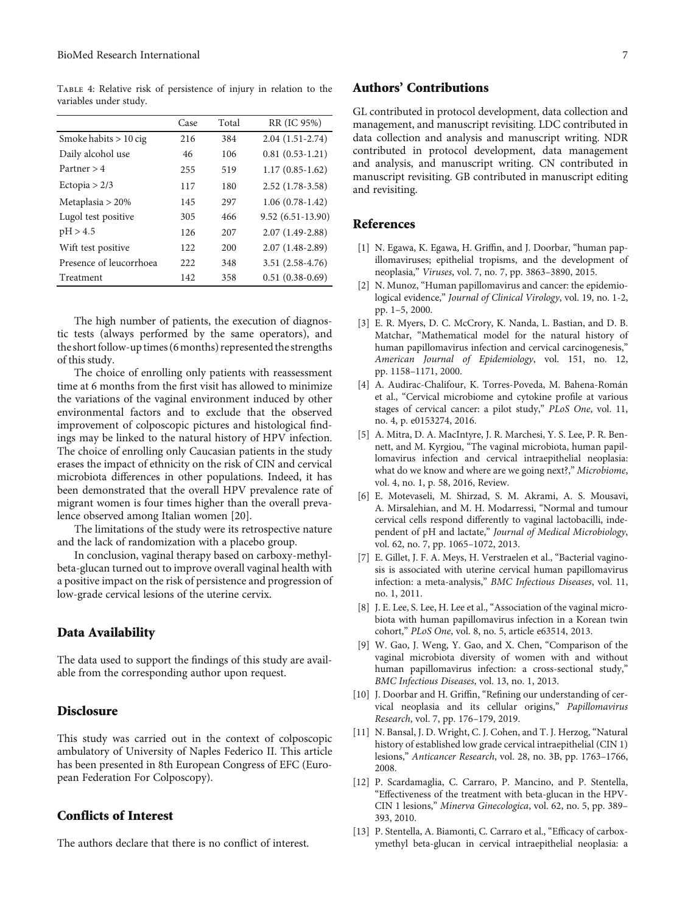| Case  | Total | RR (IC 95%)        |
|-------|-------|--------------------|
| 216   | 384   | $2.04(1.51-2.74)$  |
| 46    | 106   | $0.81(0.53-1.21)$  |
| 255   | 519   | $1.17(0.85-1.62)$  |
| 117   | 180   | $2.52(1.78-3.58)$  |
| 145   | 297   | $1.06(0.78-1.42)$  |
| 305   | 466   | $9.52(6.51-13.90)$ |
| 126   | 207   | $2.07(1.49-2.88)$  |
| 122   | 200   | $2.07(1.48-2.89)$  |
| 2.2.2 | 348   | $3.51(2.58-4.76)$  |
| 142   | 358   | $0.51(0.38-0.69)$  |
|       |       |                    |

<span id="page-6-0"></span>Table 4: Relative risk of persistence of injury in relation to the variables under study.

The high number of patients, the execution of diagnostic tests (always performed by the same operators), and the short follow-up times (6 months) represented the strengths of this study.

The choice of enrolling only patients with reassessment time at 6 months from the first visit has allowed to minimize the variations of the vaginal environment induced by other environmental factors and to exclude that the observed improvement of colposcopic pictures and histological findings may be linked to the natural history of HPV infection. The choice of enrolling only Caucasian patients in the study erases the impact of ethnicity on the risk of CIN and cervical microbiota differences in other populations. Indeed, it has been demonstrated that the overall HPV prevalence rate of migrant women is four times higher than the overall prevalence observed among Italian women [[20](#page-7-0)].

The limitations of the study were its retrospective nature and the lack of randomization with a placebo group.

In conclusion, vaginal therapy based on carboxy-methylbeta-glucan turned out to improve overall vaginal health with a positive impact on the risk of persistence and progression of low-grade cervical lesions of the uterine cervix.

#### Data Availability

The data used to support the findings of this study are available from the corresponding author upon request.

#### **Disclosure**

This study was carried out in the context of colposcopic ambulatory of University of Naples Federico II. This article has been presented in 8th European Congress of EFC (European Federation For Colposcopy).

#### Conflicts of Interest

The authors declare that there is no conflict of interest.

#### Authors' Contributions

GL contributed in protocol development, data collection and management, and manuscript revisiting. LDC contributed in data collection and analysis and manuscript writing. NDR contributed in protocol development, data management and analysis, and manuscript writing. CN contributed in manuscript revisiting. GB contributed in manuscript editing and revisiting.

#### References

- [1] N. Egawa, K. Egawa, H. Griffin, and J. Doorbar, "human papillomaviruses; epithelial tropisms, and the development of neoplasia," Viruses, vol. 7, no. 7, pp. 3863–3890, 2015.
- [2] N. Munoz, "Human papillomavirus and cancer: the epidemiological evidence," Journal of Clinical Virology, vol. 19, no. 1-2, pp. 1–5, 2000.
- [3] E. R. Myers, D. C. McCrory, K. Nanda, L. Bastian, and D. B. Matchar, "Mathematical model for the natural history of human papillomavirus infection and cervical carcinogenesis," American Journal of Epidemiology, vol. 151, no. 12, pp. 1158–1171, 2000.
- [4] A. Audirac-Chalifour, K. Torres-Poveda, M. Bahena-Román et al., "Cervical microbiome and cytokine profile at various stages of cervical cancer: a pilot study," PLoS One, vol. 11, no. 4, p. e0153274, 2016.
- [5] A. Mitra, D. A. MacIntyre, J. R. Marchesi, Y. S. Lee, P. R. Bennett, and M. Kyrgiou, "The vaginal microbiota, human papillomavirus infection and cervical intraepithelial neoplasia: what do we know and where are we going next?," Microbiome, vol. 4, no. 1, p. 58, 2016, Review.
- [6] E. Motevaseli, M. Shirzad, S. M. Akrami, A. S. Mousavi, A. Mirsalehian, and M. H. Modarressi, "Normal and tumour cervical cells respond differently to vaginal lactobacilli, independent of pH and lactate," Journal of Medical Microbiology, vol. 62, no. 7, pp. 1065–1072, 2013.
- [7] E. Gillet, J. F. A. Meys, H. Verstraelen et al., "Bacterial vaginosis is associated with uterine cervical human papillomavirus infection: a meta-analysis," BMC Infectious Diseases, vol. 11, no. 1, 2011.
- [8] J. E. Lee, S. Lee, H. Lee et al., "Association of the vaginal microbiota with human papillomavirus infection in a Korean twin cohort," PLoS One, vol. 8, no. 5, article e63514, 2013.
- [9] W. Gao, J. Weng, Y. Gao, and X. Chen, "Comparison of the vaginal microbiota diversity of women with and without human papillomavirus infection: a cross-sectional study," BMC Infectious Diseases, vol. 13, no. 1, 2013.
- [10] J. Doorbar and H. Griffin, "Refining our understanding of cervical neoplasia and its cellular origins," Papillomavirus Research, vol. 7, pp. 176–179, 2019.
- [11] N. Bansal, J. D. Wright, C. J. Cohen, and T. J. Herzog, "Natural history of established low grade cervical intraepithelial (CIN 1) lesions," Anticancer Research, vol. 28, no. 3B, pp. 1763–1766, 2008.
- [12] P. Scardamaglia, C. Carraro, P. Mancino, and P. Stentella, "Effectiveness of the treatment with beta-glucan in the HPV-CIN 1 lesions," Minerva Ginecologica, vol. 62, no. 5, pp. 389– 393, 2010.
- [13] P. Stentella, A. Biamonti, C. Carraro et al., "Efficacy of carboxymethyl beta-glucan in cervical intraepithelial neoplasia: a